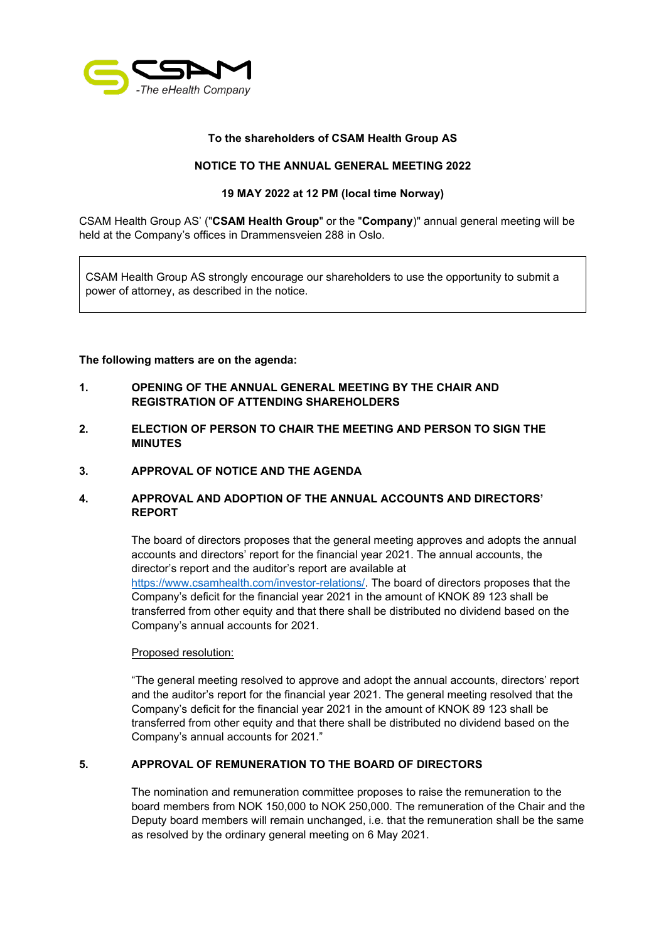

## **To the shareholders of CSAM Health Group AS**

## **NOTICE TO THE ANNUAL GENERAL MEETING 2022**

### **19 MAY 2022 at 12 PM (local time Norway)**

CSAM Health Group AS' ("**CSAM Health Group**" or the "**Company**)" annual general meeting will be held at the Company's offices in Drammensveien 288 in Oslo.

CSAM Health Group AS strongly encourage our shareholders to use the opportunity to submit a power of attorney, as described in the notice.

### **The following matters are on the agenda:**

- **1. OPENING OF THE ANNUAL GENERAL MEETING BY THE CHAIR AND REGISTRATION OF ATTENDING SHAREHOLDERS**
- **2. ELECTION OF PERSON TO CHAIR THE MEETING AND PERSON TO SIGN THE MINUTES**
- **3. APPROVAL OF NOTICE AND THE AGENDA**

## **4. APPROVAL AND ADOPTION OF THE ANNUAL ACCOUNTS AND DIRECTORS' REPORT**

The board of directors proposes that the general meeting approves and adopts the annual accounts and directors' report for the financial year 2021. The annual accounts, the director's report and the auditor's report are available at [https://www.csamhealth.com/investor-relations/.](https://www.csamhealth.com/investor-relations/) The board of directors proposes that the Company's deficit for the financial year 2021 in the amount of KNOK 89 123 shall be transferred from other equity and that there shall be distributed no dividend based on the Company's annual accounts for 2021.

#### Proposed resolution:

"The general meeting resolved to approve and adopt the annual accounts, directors' report and the auditor's report for the financial year 2021. The general meeting resolved that the Company's deficit for the financial year 2021 in the amount of KNOK 89 123 shall be transferred from other equity and that there shall be distributed no dividend based on the Company's annual accounts for 2021."

## **5. APPROVAL OF REMUNERATION TO THE BOARD OF DIRECTORS**

The nomination and remuneration committee proposes to raise the remuneration to the board members from NOK 150,000 to NOK 250,000. The remuneration of the Chair and the Deputy board members will remain unchanged, i.e. that the remuneration shall be the same as resolved by the ordinary general meeting on 6 May 2021.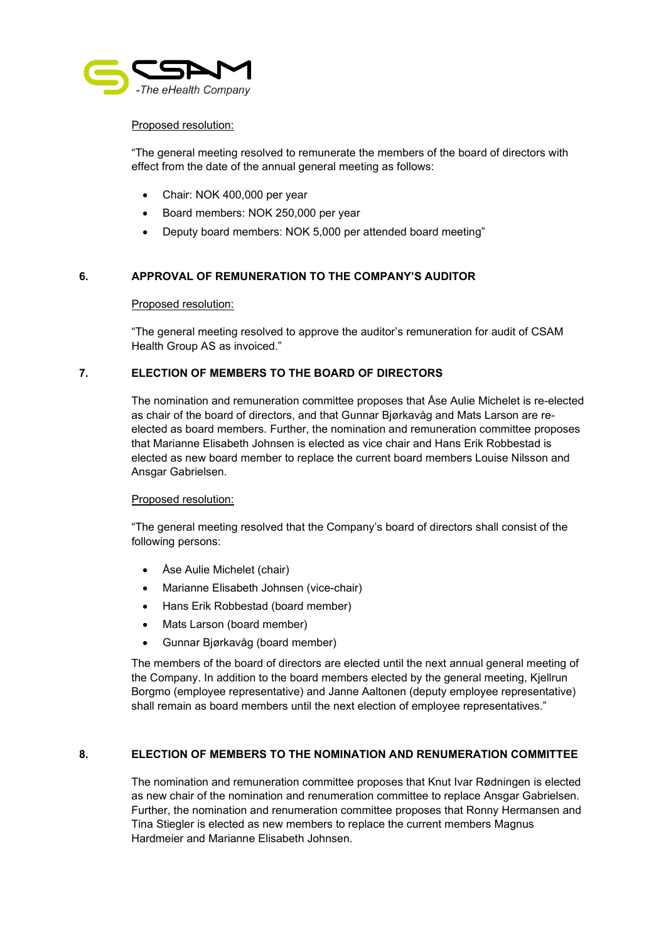

## Proposed resolution:

"The general meeting resolved to remunerate the members of the board of directors with effect from the date of the annual general meeting as follows:

- Chair: NOK 400,000 per year
- Board members: NOK 250,000 per year
- Deputy board members: NOK 5,000 per attended board meeting"

## **6. APPROVAL OF REMUNERATION TO THE COMPANY'S AUDITOR**

#### Proposed resolution:

"The general meeting resolved to approve the auditor's remuneration for audit of CSAM Health Group AS as invoiced."

### **7. ELECTION OF MEMBERS TO THE BOARD OF DIRECTORS**

The nomination and remuneration committee proposes that Åse Aulie Michelet is re-elected as chair of the board of directors, and that Gunnar Bjørkavåg and Mats Larson are reelected as board members. Further, the nomination and remuneration committee proposes that Marianne Elisabeth Johnsen is elected as vice chair and Hans Erik Robbestad is elected as new board member to replace the current board members Louise Nilsson and Ansgar Gabrielsen.

#### Proposed resolution:

"The general meeting resolved that the Company's board of directors shall consist of the following persons:

- Åse Aulie Michelet (chair)
- Marianne Elisabeth Johnsen (vice-chair)
- Hans Erik Robbestad (board member)
- Mats Larson (board member)
- Gunnar Bjørkavåg (board member)

The members of the board of directors are elected until the next annual general meeting of the Company. In addition to the board members elected by the general meeting, Kjellrun Borgmo (employee representative) and Janne Aaltonen (deputy employee representative) shall remain as board members until the next election of employee representatives."

## **8. ELECTION OF MEMBERS TO THE NOMINATION AND RENUMERATION COMMITTEE**

The nomination and remuneration committee proposes that Knut Ivar Rødningen is elected as new chair of the nomination and renumeration committee to replace Ansgar Gabrielsen. Further, the nomination and renumeration committee proposes that Ronny Hermansen and Tina Stiegler is elected as new members to replace the current members Magnus Hardmeier and Marianne Elisabeth Johnsen.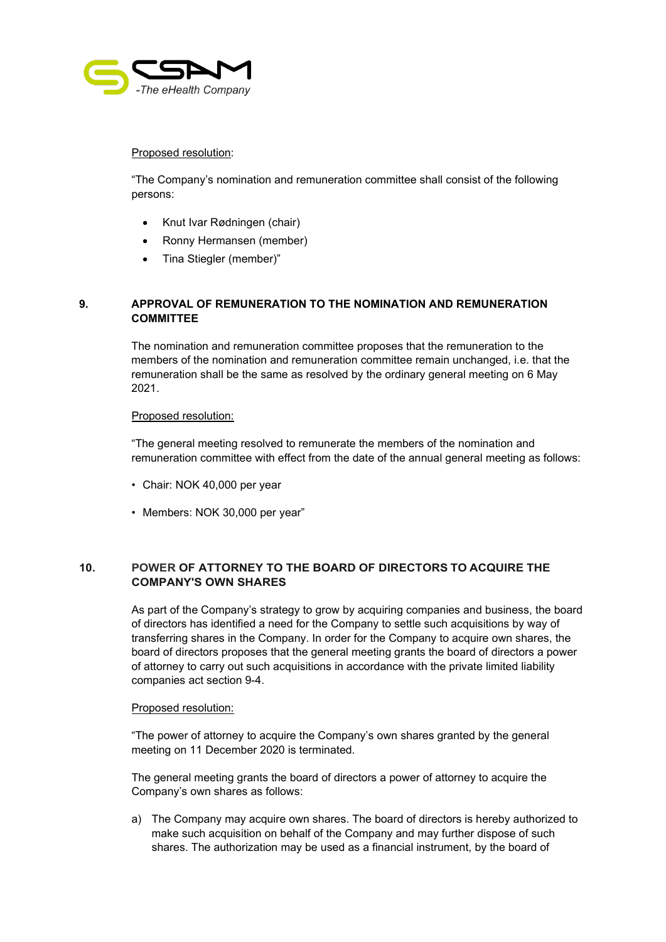

#### Proposed resolution:

"The Company's nomination and remuneration committee shall consist of the following persons:

- Knut Ivar Rødningen (chair)
- Ronny Hermansen (member)
- Tina Stiegler (member)"

# **9. APPROVAL OF REMUNERATION TO THE NOMINATION AND REMUNERATION COMMITTEE**

The nomination and remuneration committee proposes that the remuneration to the members of the nomination and remuneration committee remain unchanged, i.e. that the remuneration shall be the same as resolved by the ordinary general meeting on 6 May 2021.

### Proposed resolution:

"The general meeting resolved to remunerate the members of the nomination and remuneration committee with effect from the date of the annual general meeting as follows:

- Chair: NOK 40,000 per year
- Members: NOK 30,000 per year"

# **10. POWER OF ATTORNEY TO THE BOARD OF DIRECTORS TO ACQUIRE THE COMPANY'S OWN SHARES**

As part of the Company's strategy to grow by acquiring companies and business, the board of directors has identified a need for the Company to settle such acquisitions by way of transferring shares in the Company. In order for the Company to acquire own shares, the board of directors proposes that the general meeting grants the board of directors a power of attorney to carry out such acquisitions in accordance with the private limited liability companies act section 9-4.

#### Proposed resolution:

"The power of attorney to acquire the Company's own shares granted by the general meeting on 11 December 2020 is terminated.

The general meeting grants the board of directors a power of attorney to acquire the Company's own shares as follows:

a) The Company may acquire own shares. The board of directors is hereby authorized to make such acquisition on behalf of the Company and may further dispose of such shares. The authorization may be used as a financial instrument, by the board of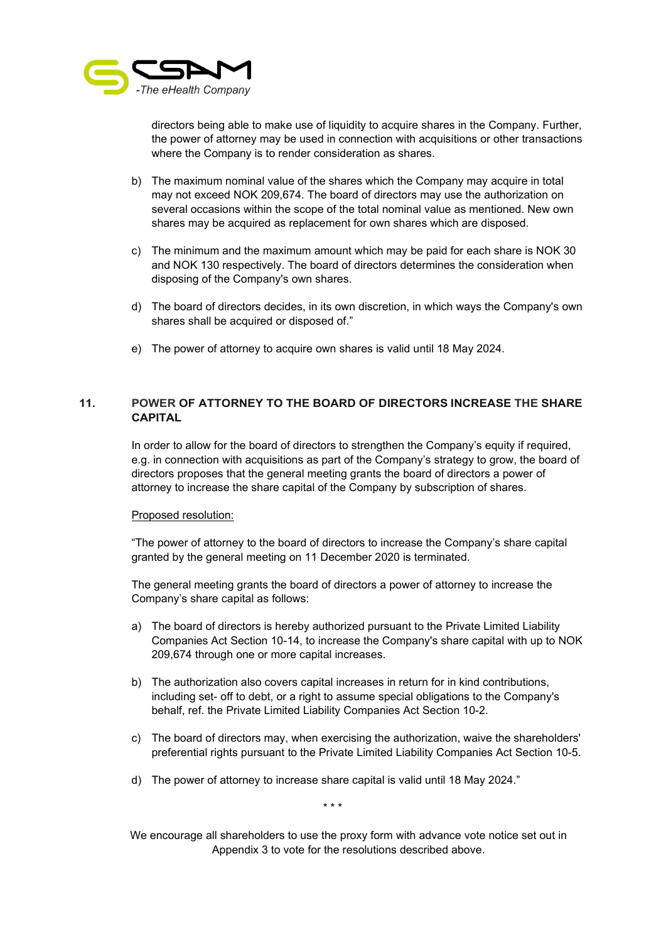

directors being able to make use of liquidity to acquire shares in the Company. Further, the power of attorney may be used in connection with acquisitions or other transactions where the Company is to render consideration as shares.

- b) The maximum nominal value of the shares which the Company may acquire in total may not exceed NOK 209,674. The board of directors may use the authorization on several occasions within the scope of the total nominal value as mentioned. New own shares may be acquired as replacement for own shares which are disposed.
- c) The minimum and the maximum amount which may be paid for each share is NOK 30 and NOK 130 respectively. The board of directors determines the consideration when disposing of the Company's own shares.
- d) The board of directors decides, in its own discretion, in which ways the Company's own shares shall be acquired or disposed of."
- e) The power of attorney to acquire own shares is valid until 18 May 2024.

# **11. POWER OF ATTORNEY TO THE BOARD OF DIRECTORS INCREASE THE SHARE CAPITAL**

In order to allow for the board of directors to strengthen the Company's equity if required, e.g. in connection with acquisitions as part of the Company's strategy to grow, the board of directors proposes that the general meeting grants the board of directors a power of attorney to increase the share capital of the Company by subscription of shares.

#### Proposed resolution:

"The power of attorney to the board of directors to increase the Company's share capital granted by the general meeting on 11 December 2020 is terminated.

The general meeting grants the board of directors a power of attorney to increase the Company's share capital as follows:

- a) The board of directors is hereby authorized pursuant to the Private Limited Liability Companies Act Section 10-14, to increase the Company's share capital with up to NOK 209,674 through one or more capital increases.
- b) The authorization also covers capital increases in return for in kind contributions, including set- off to debt, or a right to assume special obligations to the Company's behalf, ref. the Private Limited Liability Companies Act Section 10-2.
- c) The board of directors may, when exercising the authorization, waive the shareholders' preferential rights pursuant to the Private Limited Liability Companies Act Section 10-5.
- d) The power of attorney to increase share capital is valid until 18 May 2024."

\* \* \*

We encourage all shareholders to use the proxy form with advance vote notice set out in Appendix 3 to vote for the resolutions described above.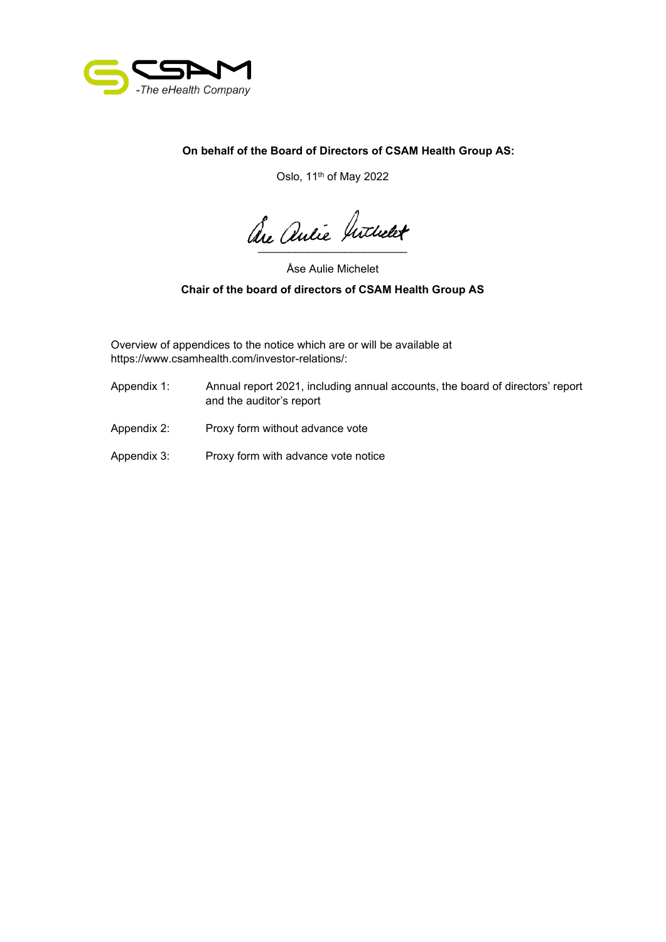

**On behalf of the Board of Directors of CSAM Health Group AS:**

Oslo, 11th of May 2022

are antie hithert

Åse Aulie Michelet

# **Chair of the board of directors of CSAM Health Group AS**

Overview of appendices to the notice which are or will be available at https://www.csamhealth.com/investor-relations/:

- Appendix 1: Annual report 2021, including annual accounts, the board of directors' report and the auditor's report
- Appendix 2: Proxy form without advance vote
- Appendix 3: Proxy form with advance vote notice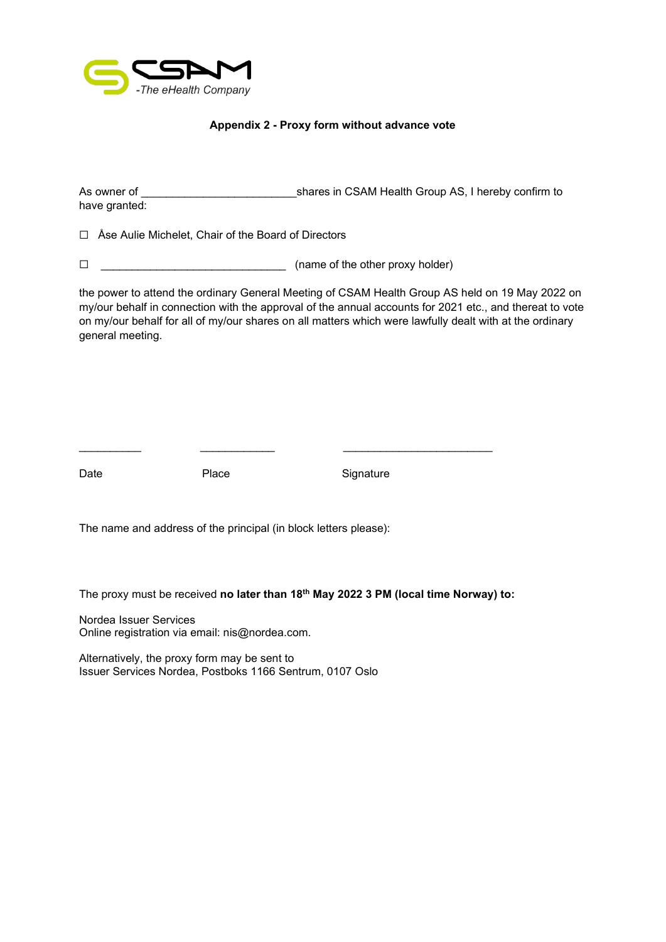

## **Appendix 2 - Proxy form without advance vote**

As owner of  $\blacksquare$   $\blacksquare$  shares in CSAM Health Group AS, I hereby confirm to have granted:

☐ Åse Aulie Michelet, Chair of the Board of Directors

☐ \_\_\_\_\_\_\_\_\_\_\_\_\_\_\_\_\_\_\_\_\_\_\_\_\_\_\_\_\_\_ (name of the other proxy holder)

the power to attend the ordinary General Meeting of CSAM Health Group AS held on 19 May 2022 on my/our behalf in connection with the approval of the annual accounts for 2021 etc., and thereat to vote on my/our behalf for all of my/our shares on all matters which were lawfully dealt with at the ordinary general meeting.

Date **Place** Place Signature

The name and address of the principal (in block letters please):

The proxy must be received **no later than 18th May 2022 3 PM (local time Norway) to:**

\_\_\_\_\_\_\_\_\_\_ \_\_\_\_\_\_\_\_\_\_\_\_ \_\_\_\_\_\_\_\_\_\_\_\_\_\_\_\_\_\_\_\_\_\_\_\_

Nordea Issuer Services Online registration via email: nis@nordea.com.

Alternatively, the proxy form may be sent to Issuer Services Nordea, Postboks 1166 Sentrum, 0107 Oslo